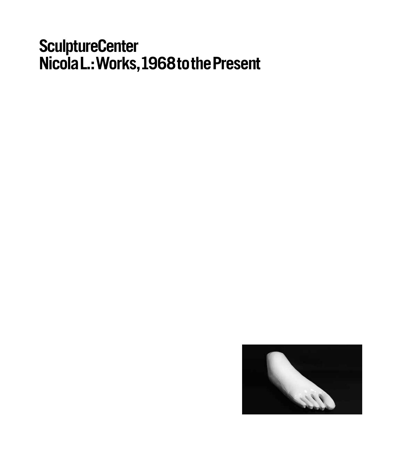# **SculptureCenter Nicola L.: Works,1968tothe Present**

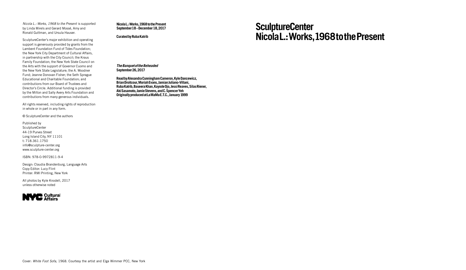*Nicola L.: Works, 1968 to the Present* is supported by Linda Mirels and Gerard Mossé, Amy and Ronald Guttman, and Ursula Hauser.

SculptureCenter's major exhibition and operating support is generously provided by grants from the Lambent Foundation Fund of Tides Foundation; the New York City Department of Cultural Affairs, in partnership with the City Council; the Kraus Family Foundation; the New York State Council on the Arts with the support of Governor Cuomo and the New York State Legislature; the A. Woodner Fund; Jeanne Donovan Fisher; the Seth Sprague Educational and Charitable Foundation; and contributions from our Board of Trustees and Director's Circle. Additional funding is provided by the Milton and Sally Avery Arts Foundation and contributions from many generous individuals.

All rights reserved, including rights of reproduction in whole or in part in any form.

© SculptureCenter and the authors

Published by **SculptureCenter** 44-19 Purves Street Long Island City, NY 11101 t: 718.361.1750 info@sculpture-center.org www.sculpture-center.org

ISBN: 978-0-9972811-9-4

Design: Claudia Brandenburg, Language Arts Copy Editor: Lucy Flint Printer: RMI Printing, New York

All photos by Kyle Knodell, 2017 unless otherwise noted



**Nicola L.: Works, 1968 to the Present September 18 – December 18, 2017**

**Curated by Ruba Katrib**

*The Banquet of the Beheaded* **September 26, 2017**

**Read by Alexandra Cunningham Cameron, Kyle Dancewicz, Brian Droitcour, Moriah Evans, Jamian Juliano-Villani, Ruba Katrib, Baseera Khan, Kayode Ojo, Jessi Reaves, Silas Riener, Aki Sasamoto, Jamie Stevens, and C. Spencer Yeh Originally produced at La MaMa E.T.C., January 1999**

**SculptureCenter Nicola L.: Works,1968tothe Present**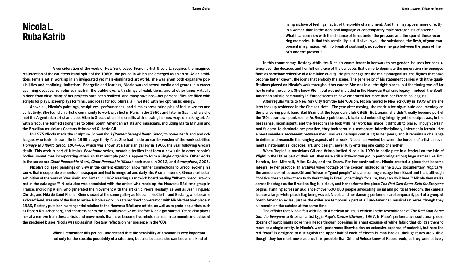# **Nicola L. Ruba Katrib**

 **A consideration of the work of New York–based French artist Nicola L. requires the imagined** resurrection of the countercultural spirit of the 1960s, the period in which she emerged as an artist. As an ambitious female artist working in an invigorated vet male-dominated art world, she was given both expansive pos**sibilities and confining limitations. Energetic and fearless, Nicola worked across media and genres in a career** spanning decades, sometimes much in the public eye, with strings of exhibitions, and at other times virtually hidden from view. Many of her projects have been realized, and many have not—her personal files are filled with **scripts for plays, screenplays for films, and ideas for sculptures, all invested with her optimistic energy.**

**Above all, Nicola's paintings, sculptures, performances, and films express principles of inclusiveness and** collectivity. She found an artistic community to work with first in Paris in the 1960s and later in Spain, where she met the Argentinian artist and poet Alberto Greco, whom she credits with showing her new ways of making art. As with Greco, she formed strong ties to other South American artists and musicians, including Marta Minujín and **the Brazilian musicians Caetano Veloso and Gilberto Gil.**

**In 1975 Nicola made the sculpture** *Screen for 3 (Remembering Alberto Greco)* **to honor her friend and col**league, who took his own life in 1965 at age thirty-four. She had made an earlier version of the work subtitled *Homage to Alberto Greco***, 1964–66, which was shown at a Parisian gallery in 1966, the year following Greco's** death. This work is part of Nicola's Penetrable series, wearable textiles that form a new skin to cover people's **bodies, sometimes incorporating others so that multiple people appear to form a single organism. Other works in the series are** *Giant Penetrable (Sun)***,** *Giant Penetrable (Moon)***, both made in 2012, and** *Atmosphere,* **2005.**

**Nicola's collaged paintings on view in the current exhibition show further connections to Greco, evoking his** works that incorporate elements of newspaper and text to merge art and daily life. Also a maverick, Greco crashed an exhibition of the work of Yves Klein and Arman in 1962 wearing a sandwich board reading "Alberto Greco, artwork not in the catalogue." Nicola also was associated with the artists who made up the Nouveau Réalisme group in France, including Klein, who generated the movement with the art critic Pierre Restany, as well as Jean Tinguely, Christo, and Niki de Saint Phalle. Klein showed at the same gallery as Nicola—Iris Clert—and Restany, who became a close friend, was one of the first to review Nicola's work. In a transcribed conversation with Nicola that took place in 1986. Restany puts her in a tangential relation to the Nouveau Réalisme artists, as well as to proto-pop artists such as Robert Rauschenberg, and connects her to the surrealists active well before Nicola got started. Yet he also places her at a remove from these artists and movements that have become household names. In comments indicative of **the gendered biases Nicola was up against, Restany reflects on her presence in the '60s:**

> **When I remember this period I understand that the sensibility of a woman is very important not only for the specific possibility of a situation, but also because she can become a kind of**

**living archive of feelings, facts, of the profile of a moment. And this may appear more directly in a woman than in the work and language of contemporary male protagonists of a scene.** What I can see now with the distance of time, under the pressure and the spur of these recurring memories, is that this sensibility is still alive in you, the substance, the flesh, of your own **present imagination, with no break of continuity, no rupture, no gap between the years of the 60s and the present.2**

In this commentary, Restany attributes Nicola's commitment to her work to her gender. He sees her consistency over the decades and her full embrace of the concepts that came to dominate the generation she emerged from as somehow reflective of a feminine quality. He pits her against the male protagonists, the figures that have become better known, the icons that embody the scene. The generosity of his statement carries with it the qualifications placed on Nicola's work throughout her career. She was in all the right places, but the timing was off for her to enter the canon. She knew Klein, but was not included in the Nouveau Réalisme legacy—indeed, the South **American artistic community in Europe seems to have embraced her more than her French colleagues.**

After regular visits to New York City from the late '60s on, Nicola moved to New York City in 1979 where she later took up residence in the Chelsea Hotel. The year after moving, she made a twenty-minute documentary on the pioneering punk band Bad Brains at the legendary club CBGB. But, again, she didn't really become part of the '80s downtown punk scene. As Restany points out, Nicola had unbending integrity, yet her output was, in the best sense, inconsistent, and the freedom she took with her work has made it difficult to place. Though certain **motifs came to dominate her practice, they took form in a motionary, interdisciplinary, intermedia terrain. Her almost seamless movement between mediums was perhaps confusing to her peers, and it remains a challenge** to define and reconcile the ranging aspects of her work. Nicola has worked between the borders of artistic move**ments, nationalities, decades, art, and design, never fully entering one camp or another.**

When Tropicália musicians Gil and Veloso invited Nicola in 1970 to participate in a festival on the Isle of Wight in the UK as part of their set, they were still a little-known group performing among huge names like Jimi Hendrix, Joni Mitchell, Miles Davis, and the Doors. For her contribution, Nicola created a piece that became integral to her practice. In archival video footage of the concert included in the 2012 documentary Tropicália, the announcer introduces Gil and Veloso as "good people" who are coming onstage from Brazil and that, although "politics doesn't allow them to do their thing in Brazil, one thing's for sure, they can do it here."<sup>3</sup> Nicola then walks **across the stage as the Brazilian flag is laid out, and her performative piece** *The Red Coat Same Skin for Everyone* **begins. Panning across an audience of over 600,000 people advocating social and political freedom, the camera** locates a large white peace flag being waved. Nicola and her dancing performers are temporarily part of a group of South American exiles, just as the exiles are temporarily part of a Euro-American musical universe, though they **all remain on the outside at the same time.**

**The affinity that Nicola felt with South American artists is evident in the resemblance of** *The Red Coat Same Skin for Everyone* **to Brazilian artist Lygia Pape's** *Divisor (Divider)***, 1967. In Pape's performative sculptural piece,** dozens of participants poke their heads through openings in a vast expanse of white fabric that obliges them to move as a single entity. In Nicola's work, performers likewise don an extensive expanse of material, but here the red "coat" is designed to distinguish the upper half of each of eleven human bodies; their gestures are visible though they too must move as one. It is possible that Gil and Veloso knew of Pape's work, as they were actively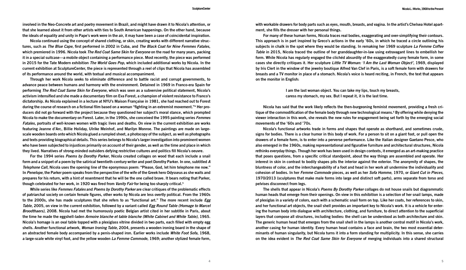involved in the Neo-Concrete art and poetry movement in Brazil, and might have drawn it to Nicola's attention, or that she learned about it from other artists with ties to South American happenings. On the other hand, because the ideals of equality and unity in Pape's work were in the air, it may have been a case of coincidental inspiration.

**Nicola continued using the concept of shared clothing, or skin, creating works with different narrative structures, such as** *The Blue Cape***, first performed in 2002 in Cuba, and** *The Black Coat for Nine Femmes Fatales***, which premiered in 1996. Nicola took** *The Red Coat Same Skin for Everyone* **on the road for many years, packing** it in a special suitcase—a mobile object containing a performance piece. Most recently, the piece was performed in 2015 for the Tate Modern exhibition The World Goes Pop, which included additional works by Nicola. In the current exhibition at SculptureCenter, the piece is represented through a reel of clips that Nicola has assembled **of its performance around the world, with textual and musical accompaniment.**

**Through her work Nicola seeks to eliminate difference and to battle racist and corrupt governments, to advance peace between humans and harmony with the environment. Detained in 1969 in Franco-era Spain for performing** *The Red Coat Same Skin for Everyone***, which was seen as a subversive political statement, Nicola's** activism intensified and she made a documentary film on Eva Forest, a champion of violent resistance to Franco's dictatorship. As Nicola explained in a lecture at NYU's Maison Francaise in 1981, she had reached out to Forest during the course of research on a fictional film based on a woman "fighting in an extremist movement."<sup>4</sup> Her producers did not go forward with the project because they questioned her subject's moral stance, which prompted Nicola to make the documentary on Forest. Later, in the 1990s, she conceived the 1995 painting series Femmes Fatales, portraits of well-known women with tragic lives and deaths. On view in the current exhibition are works **featuring Jeanne d'Arc, Billie Holiday, Ulrike Meinhof, and Marilyn Monroe. The paintings are made on large**scale wooden boards onto which Nicola glued a rumpled sheet, a photocopy of the subject, as well as photographs **and texts providing biographical details. This series belongs to Nicola's larger investigation into prominent women** who have been subjected to injustices primarily on account of their gender, as well as the time and place in which **they lived. Narratives of strong-minded outsiders defying restrictive cultures and politics fill Nicola's oeuvre.**

**For the 1994 series** *Poems by Dorothy Parker***, Nicola created collages on wood that each include a snail** form and a snippet of a poem by the satirical twentieth-century writer and poet Dorothy Parker. In one, subtitled A Telephone Call. Nicola uses the opening line of the eponymous poem: "Please, God, let him telephone me now." In Penelope, the Parker poem speaks from the perspective of the wife of the Greek hero Odysseus as she waits and prepares for his return, with a hint of resentment that he will be the one called brave. It bears noting that Parker, **though celebrated for her work, in 1920 was fired from** *Vanity Fair* **for being too sharply critical.5**

**While series like** *Femmes Fatales* **and** *Poems by Dorothy Parker* **are clear critiques of the problematic effects** of patriarchal society on certain female figures, other works by Nicola are less overtly political. From the 1960s to the 2000s, she has made sculptures that she refers to as "functional art." The more recent include Egg *Table***, 2005, on view in the current exhibition, followed by a variant called** *Egg Round Table (Homage to Marcel*  Broodthaers), 2008. Nicola had met the humorously poetic Belgian artist cited in her subtitle in Paris, about **the time he made the eggshell-laden** *Armoire blanche et table blanche (White Cabinet and White Table)***, 1965.** Nicola's homage is an oval table topped with a plexiglass vitrine divided in two parts, each filled with empty egg **shells. Another functional artwork,** *Woman Ironing Table***, 2004, presents a wooden ironing board in the shape of an abstracted female body accompanied by a penis-shaped iron. Earlier works include** *White Foot Sofa***, 1968, a large-scale white vinyl foot, and the yellow wooden** *La Femme Commode***, 1969; another stylized female form,**

with workable drawers for body parts such as eyes, mouth, breasts, and vagina. In the artist's Chelsea Hotel apart**ment, she fills the dresser with her personal things.**

**For many of these human forms, Nicola traces real bodies, exaggerating and over-simplifying their contours.** This approach is in part inspired by Greco's actions in the early '60s, in which he traced a circle outlining his subjects in chalk in the spot where they would be standing. In remaking her 1969 sculpture La Femme Coffee *Table* **in 2015, Nicola traced the outline of her granddaughter-in-law using extravagant lines to embellish her** form. While Nicola has regularly engaged the clichéd absurdity of the exaggeratedly curvy female form, in some **cases she directly critiques it. Her sculpture** *Little TV Woman: 'I Am the Last Woman Object'***, 1969, displayed** by Iris Clert in the window of the jewelry boutique Alfred Van Clef in Paris, is a soft female form with drawers for breasts and a TV monitor in place of a stomach. Nicola's voice is heard reciting, in French, the text that appears **on the monitor in English:**

> **I am the last woman object. You can take my lips, touch my breasts, caress my stomach, my sex. But I repeat it, it is the last time.**

**Nicola has said that the work likely reflects the then-burgeoning feminist movement, providing a fresh cri**tique of the commodification of the female body through new technological means.<sup>6</sup> By offering while denying the viewer interaction in this work, she reveals the new rules for engagement being set forth by the emerging social **movements of the '60s and '70s.**

**Nicola's functional artworks trade in forms and shapes that operate as shorthand, and sometimes crude,** signs for bodies. There is a clear humor in this body of work. For a person to sit on a giant foot, or pull open the drawers of a female form, is to enter into a perverse performance. Like the Italian designer Gaetano Pesce, who **also emerged in the 1960s, making representational and figurative furniture and architectural structures, Nicola** rethinks everyday things. Though her work has been used in design contexts, it emerged as an art-making practice that poses questions, from a specific critical standpoint, about the way things are assembled and operate. Her interest in skin in contrast to bodily shapes pits the interior against the exterior. The anonymity of shapes, the bluntness of color, and the interchangeability of a foot and head in her work all undermine the individuality and **cohesion of bodies. In her** *Femme Commode* **pieces, as well as her** *Sofa Homme***, 1970, or** *Giant Cut in Pieces***,** 1970/2013 (sculptures that make male forms into large and distinct soft parts), arms separate from torso and **pelvises disconnect from legs.**

**The shells that appear in Nicola's** *Poems By Dorothy Parker* **collages do not house snails but diagrammatic** human heads that emerge from their openings. On view in this exhibition is a selection of her snail lamps, made of plexiglas in a variety of colors, each with a schematic snail form on top. Like her coats, her references to skin, and her functional art objects, the snail shell provides an important key to Nicola's work. It is a vehicle for entering the human body into dialogue with architecture, clothing, and furniture, to direct attention to the superficial layers that compose all structures, including bodies: the shell can be understood as both architecture and skin. The generic human head that emerges from the snail shell in the lamps is another central motif in Nicola's work, another casing for human identity. Every human head contains a face and brain, the two most essential determinants of human singularity, but Nicola turns it into a form standing for multiplicity. In this sense, she carries **on the idea evident in** *The Red Coat Same Skin for Everyone* **of merging individuals into a shared structural**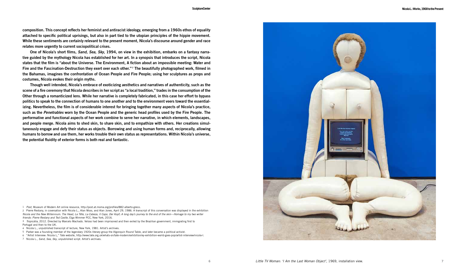**6**

**composition. This concept reflects her feminist and antiracist ideology, emerging from a 1960s ethos of equality** attached to specific political uprisings, but also in part tied to the utopian principles of the hippie movement. **While these sentiments are certainly relevant to the present moment, Nicola's discourse around gender and race relates more urgently to current sociopolitical crises.**

One of Nicola's short films, Sand, Sea, Sky, 1994, on view in the exhibition, embarks on a fantasy narrative guided by the mythology Nicola has established for her art. In a synopsis that introduces the script, Nicola states that the film is "about the Universe. The Environment, A fiction about an impossible meeting: Water and **Fire and the Fascination-Destruction they exert over each other." <sup>7</sup> The beautifully photographed work, filmed in** the Bahamas, imagines the confrontation of Ocean People and Fire People; using her sculptures as props and **costumes, Nicola evokes their origin myths.**

**Though well intended, Nicola's embrace of exoticizing aesthetics and narratives of authenticity, such as the** scene of a fire ceremony that Nicola describes in her script as "a local tradition," trades in the consumption of the Other through a romanticized lens. While her narrative is completely fabricated, in this case her effort to bypass politics to speak to the connection of humans to one another and to the environment veers toward the essentializing. Nevertheless, the film is of considerable interest for bringing together many aspects of Nicola's practice, such as the Penetrables worn by the Ocean People and the generic head profiles used by the Fire People. The **performative and functional aspects of her work combine to serve her narrative, in which elements, landscapes,** and people merge. Nicola aims to shed skin, to share skin, and to empathize with others. Her creations simul**taneously engage and defy their status as objects. Borrowing and using human forms and, reciprocally, allowing** humans to borrow and use them, her works trouble their own status as representations. Within Nicola's universe, **the potential fluidity of exterior forms is both real and fantastic.**

1 *Post*, Museum of Modern Art online resource, http://post.at.moma.org/profiles/882-alberto-greco.

2 Pierre Restany, in coversation with Nicola L., Alan Moss, and Alan Jones, April 29, 1986. A transcript of this conversation was displayed in the exhibition *Nicola and the New Millennium: The Head, La Tête, La Cabeza, Il Capo, Der Kopf; A long day's journey to the end of the skin—Homage to my two writer friends: Pierre Restany and Ted Castle*, Elga Wimmer PCC, New York, 2016.

3 *Tropicália*, 2012. Directed by Marcelo Machado. Veloso had been imprisoned and then exiled by the Brazilian government, immigrating first to Portugal and then to the UK.

4 Nicola L., unpublished transcript of lecture, New York, 1981. Artist's archives.

5 Parker was a founding member of the legendary 1920s literary group the Algonquin Round Table, and later became a political activist.

6 "Artist Interview: Nicola L," Tate website, http://www.tate.org.uk/whats-on/tate-modern/exhibition/ey-exhibition-world-goes-pop/artist-interview/nicola-l.

7 Nicola L., *Sand, Sea, Sky*, unpublished script. Artist's archives.

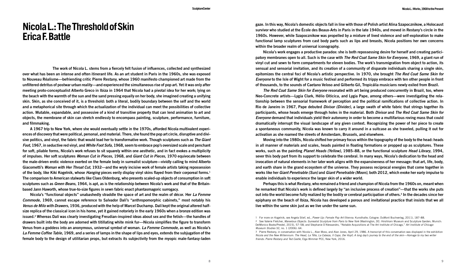## **Nicola L.: The Threshold of Skin Erica F. Battle**

 **The work of Nicola L. stems from a fiercely felt fusion of influences, collected and synthesized** over what has been an intense and often itinerant life. As an art student in Paris in the 1960s, she was exposed **to Nouveau Réalisme—befriending critic Pierre Restany, whose 1960 manifesto championed art made from the** unfiltered detritus of postwar urban reality—and experienced the simultaneous rise of pop art. Yet it was only after meeting proto-conceptualist Alberto Greco in Ibiza in 1964 that Nicola had a pivotal idea for her work; lying on the beach with the warmth of the sun and the sand pressing equally on her body, she imagined creating a unifying skin. Skin, as she conceived of it, is a threshold; both a literal, bodily boundary between the self and the world and a metaphorical site through which the actualization of the individual can meet the possibilities of collective action. Mutable, expandable, and possessive of a kind of transitive property that can lend animation to art and **objects, the membrane of skin can stretch endlessly to encompass painting, sculpture, performance, furniture, and filmmaking.**

A 1967 trip to New York, where she would eventually settle in the 1970s, afforded Nicola multivalent experiences of discovery that were political, personal, and material. There, she found the pop art circle, disruptive and divisive politics, and vinyl, the fabric that would lead her to transformative work. Though sculptures such as The Giant Foot, 1967, in seductive red vinyl, and White Foot Sofa, 1968, seem to embrace pop's oversized scale and penchant for soft, pliable forms, Nicola's work refuses to sit squarely within one aesthetic, and in fact evokes a multiplicity **of impulses. Her soft sculptures** *Woman Cut in Pieces***, 1968, and** *Giant Cut in Pieces***, 1970 equivocate between** the male-driven erotic violence exerted on the female body in surrealist sculpture—vividly calling to mind Alberto **Giacometti's** *Woman with Her Throat Cut***, 1932—and the wryly incisive work of female artists taking repossession** of the body, like Kiki Kogelnik, whose *Hanging* pieces eerily display vinyl skins flayed from their corporeal forms.<sup>1</sup> **The comparison to American stalwarts like Claes Oldenburg, who presents scaled-up objects of consumption in soft** sculptures such as Green Beans, 1964, is apt, as is the relationship between Nicola's work and that of the Britain**based Jann Haworth, whose true-to-size figures in sewn fabric enact phantasmagoric surrogacy.**

**Nicola's "functional objects" unabashedly straddle the space of art and the realm of décor. Her** *La Femme Commode***, 1969, cannot escape reference to Salvador Dalí's "anthropomorphic cabinets," most notably his** Venus de Milo with Drawers, 1936, produced with the help of Marcel Duchamp, Dalí kept the original altered halfsize replica of the classical icon in his home, yet it gained notoriety in the early 1960s when a bronze edition was **issued.2 Whereas Dalí was clearly investigating Freudian-inspired ideas about sex and the fetish—the handles of** drawers built into the body are adorned with titillating white mink fur—Nicola simplifies the figure to transform **Venus from a goddess into an anonymous, universal symbol of woman.** *La Femme Commode***, as well as Nicola's** La Femme Coffee Table, 1969, and a series of lamps in the shape of lips and eyes, extends the subjugation of the **female body to the design of utilitarian props, but extracts its subjectivity from the myopic male-fantasy-laden**

gaze. In this way, Nicola's domestic objects fall in line with those of Polish artist Alina Szapocznikow, a Holocaust survivor who studied at the École des Beaux-Arts in Paris in the late 1940s, and moved in Restany's circle in the **1960s. However, while Szapocznikow was propelled by a mixture of lived violence and self-exploration to make** functional lamp sculptures from cast body parts such as lips and breasts, Nicola positions her own concerns **within the broader realm of universal iconography.**

**Nicola's work engages a productive paradox: she is both repossessing desire for herself and creating partici**patory membranes open to all. Such is the case with The Red Coat Same Skin for Everyone, 1969, a giant run of vinyl cut and sewn to form compartments for eleven bodies. The work's transmigration from object to action, its sensual and sensorial invitation, and its creation of a community of disparate individuals sharing a single skin, **epitomizes the central foci of Nicola's artistic perspective. In 1970, she brought** *The Red Coat Same Skin for*  Evervone to the Isle of Wight for a music festival and performed its trippy embrace with ten other people in front of thousands, to the sounds of Caetano Veloso and Gilberto Gil, Tropicália musicians newly exiled from Brazil.

*The Red Coat Same Skin for Everyone* **resonated with art being produced concurrently in Brazil, too, where Neo-Concrete artists—Lygia Clark, Hélio Oiticica, and Lygia Pape, among others—were investigating the relationship between the sensorial framework of perception and the political ramifications of collective action. In** Rio de Janeiro in 1967, Pape debuted *Divisor (Divider)*, a large swath of white fabric that strings together its **participants, whose heads emerge through holes in the material. Both** *Divisor* **and** *The Red Coat Same Skin for*  Everyone demand that individuals yield their autonomy in order to become a multifarious roving mass that could dramatically interrupt the visual landscape of any given context. Recognizing the power of her piece to create a spontaneous community, Nicola was known to carry it around in a suitcase as she traveled, pulling it out for **activation as she roamed the streets of Amsterdam, Brussels, and elsewhere.**

Moving into the 1980s, Nicola shifted her primary focus within the topography of the body to the head; heads in all manner of materials and scales, heads painted in floating formations or propped up as sculptures. These **works, such as the painting** *Planet Heads (Yellow)***, 1985–88, or the functional sculpture** *Head Library***, 1994,** sever this body part from its support to celebrate the cerebral. In many ways, Nicola's dedication to the head and invocation of natural elements in her later work aligns with the expansiveness of her message: that art, life, body, and earth share in the grand ecosystem of the universe. They possess reciprocal energies that come together in **works like her** *Giant Penetrable (Sun)* **and** *Giant Penetrable (Moon)***, both 2012, which evoke her early impulse to enable individuals to experience the larger skin of a wider world.**

Perhaps this is what Restany, who remained a friend and champion of Nicola from the 1960s on, meant when he remarked that Nicola's work is defined largely by "an inclusive process of creation"—that the works she puts out into the world become fully realized by the bodily or cerebral participation of others.<sup>3</sup> In the decades since her epiphany on the beach of Ibiza, Nicola has developed a porous and invitational practice that insists that we all **live within the same skin just as we live under the same sun.**

<sup>1</sup> For more on Kogelnik, see Angela Stief, ed., *Power Up: Female Pop Art* (Vienna: Kunsthalle; Cologne: DuMont Buchverlag, 2011), 187–88. 2 See Valerie Fletcher, *Marvelous Objects: Surrealist Sculpture from Paris to New York* (Washington, DC: Hirshhorn Museum and Sculpture Garden; Munich: DelMonico Books/Prestel, 2015), 57–58; and Stephanie D'Alessandro, "Notable Acquisitions at The Art Institute of Chicago," *Art Institute of Chicago Museum Studies* 32, no. 1 (2006): 64.

<sup>3</sup> Pierre Restany, in conversation with Nicola L., Alan Moss, and Alan Jones, April 29, 1986. A transcript of this conversation was displayed in the exhibition *Nicola and the New Millennium: The Head, La Tête, La Cabeza, Il Capo, Der Kopf; A long day's journey to the end of the skin––Homage to my two writer friends: Pierre Restany and Ted Castle*, Elga Wimmer PCC, New York, 2016.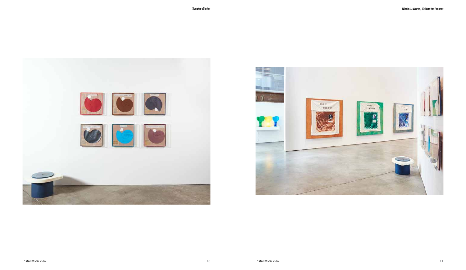

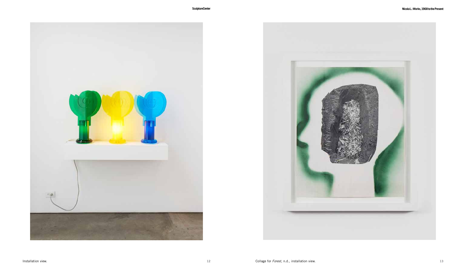

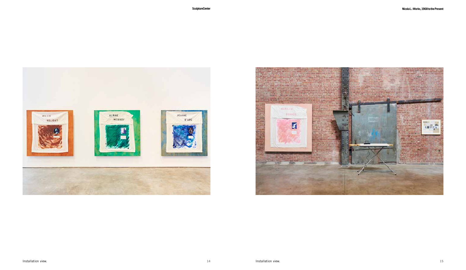

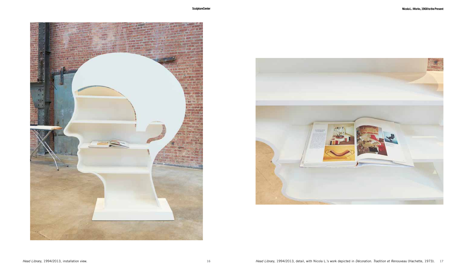

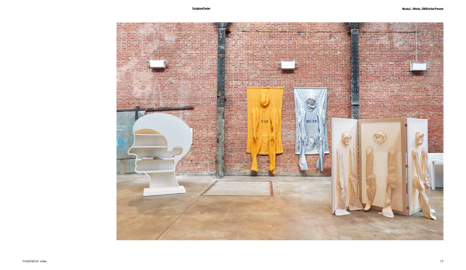**SculptureCenter**

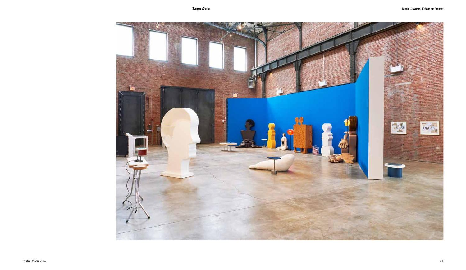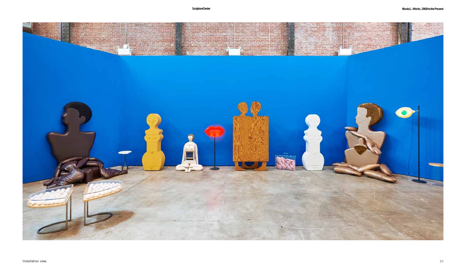### **SculptureCenter**

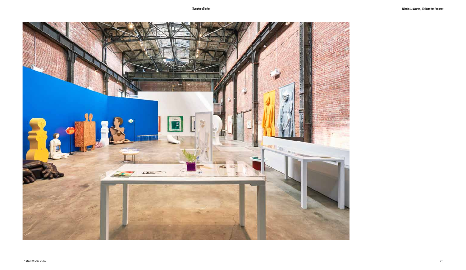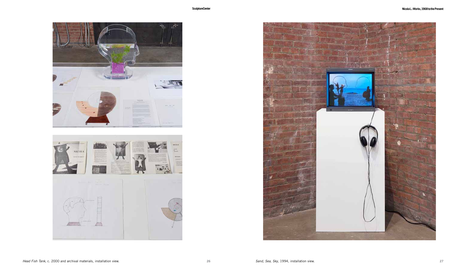



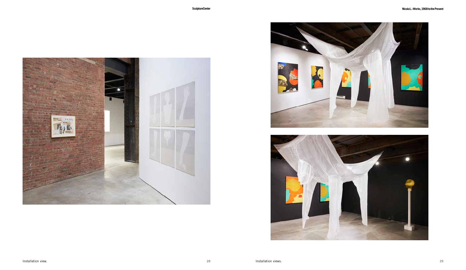



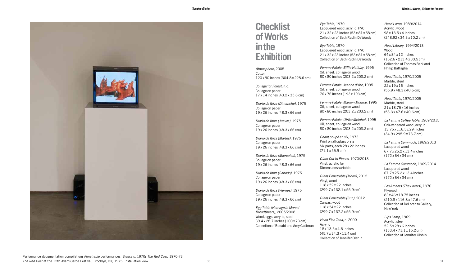

## **Checklist ofWorks inthe Exhibition**

*Atmosphere*, 2005 **Cotton** 120 x 90 inches (304.8 x 228.6 cm)

Collage for *Forest*, n.d. Collage on paper 17 x 14 inches (43.2 x 35.6 cm)

*Diario de Ibiza (Dimanche)*, 1975 Collage on paper 19 x 26 inches (48.3 x 66 cm)

*Diario de Ibiza (Jueves)*, 1975 Collage on paper 19 x 26 inches (48.3 x 66 cm)

*Diario de Ibiza (Martes)*, 1975 Collage on paper 19 x 26 inches (48.3 x 66 cm)

*Diario de Ibiza (Miercoles)*, 1975 Collage on paper 19 x 26 inches (48.3 x 66 cm)

*Diario de Ibiza (Sabado)*, 1975 Collage on paper 19 x 26 inches (48.3 x 66 cm)

*Diario de Ibiza (Viernes)*, 1975 Collage on paper 19 x 26 inches (48.3 x 66 cm)

*Egg Table (Homage to Marcel Broodthaers)*, 2005/2008 Wood, eggs, acrylic, steel 39.4 x 28.7 inches (100 x 73 cm) Collection of Ronald and Amy Guttman *Eye Table*, 1970 Lacquered wood, acrylic, PVC 21 x 32 x 23 inches (53 x 81 x 58 cm) Collection of Beth Rudin DeWoody

*Eye Table*, 1970 Lacquered wood, acrylic, PVC 21 x 32 x 23 inches (53 x 81 x 58 cm) Collection of Beth Rudin DeWoody

*Femme Fatale: Billie Holiday*, 1995 Oil, sheet, collage on wood 80 x 80 inches (203.2 x 203.2 cm)

*Femme Fatale: Jeanne d'Arc*, 1995 Oil, sheet, collage on wood 76 x 76 inches (193 x 193 cm)

*Femme Fatale: Marilyn Monroe*, 1995 Oil, sheet, collage on wood 80 x 80 inches (203.2 x 203.2 cm)

*Femme Fatale: Ulrike Meinhof*, 1995 Oil, sheet, collage on wood 80 x 80 inches (203.2 x 203.2 cm)

*Géant coupé en six*, 1973 Print on altuglass plate Six parts, each 28 x 22 inches (71.1 x 55.9 cm)

*Giant Cut In Pieces*, 1970/2013 Vinyl, acrylic fur Dimensions variable

*Giant Penetrable (Moon)*, 2012 Vinyl, wood 118 x 52 x 22 inches (299.7 x 132.1 x 55.9 cm)

*Giant Penetrable (Sun)*, 2012 Canvas, wood 118 x 54 x 22 inches (299.7 x 137.2 x 55.9 cm)

*Head Fish Tank*, c. 2000 Acrylic 18 x 13.5 x 4.5 inches (45.7 x 34.3 x 11.4 cm) Collection of Jennifer Olshin

*Head Lamp*, 1989/2014 Acrylic, wood 98 x 13.5 x 4 inches (248.92 x 34.3 x 10.2 cm)

*Head Library*, 1994/2013 Wood 64 x 84 x 12 inches (162.6 x 213.4 x 30.5 cm) Collection of Thomas Bark and Philip Battaglia

*Head Table*, 1970/2005 Marble, steel 22 x 19 x 16 inches (55.9 x 48.3 x 40.6 cm)

*Head Table*, 1970/2005 Marble, steel 21 x 18.75 x 16 inches (53.3 x 47.6 x 40.6 cm)

*La Femme Coffee Table*, 1969/2015 Oak-veneered wood, acrylic 13.75 x 116.5 x 29 inches (34.9 x 295.9 x 73.7 cm)

*La Femme Commode*, 1969/2013 Lacquered wood 67.7 x 25.2 x 13.4 inches (172 x 64 x 34 cm)

*La Femme Commode*, 1969/2014 Lacquered wood 67.7 x 25.2 x 13.4 inches (172 x 64 x 34 cm)

*Les Amants (The Lovers)*, 1970 Plywood 83 x 46 x 18.75 inches (210.8 x 116.8 x 47.6 cm) Collection of DeLorenzo Gallery, New York

*Lips Lamp*, 1969 Acrylic, steel 52.5 x 28 x 6 inches (133.4 x 71.1 x 15.2 cm) Collection of Jennifer Olshin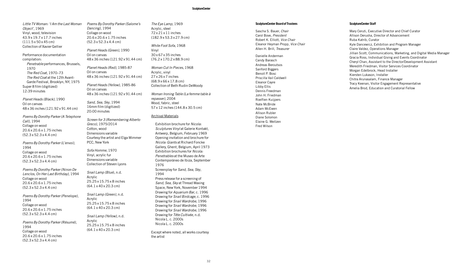#### **SculptureCenter**

*Little TV Woman: 'I Am the Last Woman Object'*, 1969 Vinyl, wood, television 43.9 x 19.7 x 17.7 inches (111.5 x 50 x 45 cm) Collection of Xavier Gellier

Performance documentation compilation: *Penetrable* performances, Brussels, 1970 *The Red Coat*, 1970–73 *The Red Coat* at the 12th Avant-Garde Festival, Brooklyn, NY, 1975 Super 8 film (digitized) 12:39 minutes

*Planet Heads (Black)*, 1990 Oil on canvas 48 x 36 inches (121.92 x 91.44 cm)

*Poems By Dorothy Parker (A Telephone Call)*, 1994 Collage on wood 20.6 x 20.6 x 1.75 inches (52.3 x 52.3 x 4.4 cm)

*Poems By Dorothy Parker (L'envoi)*, 1994 Collage on wood 20.6 x 20.6 x 1.75 inches (52.3 x 52.3 x 4.4 cm)

*Poems By Dorothy Parker (Ninon De Lenclos, On Her Last Birthday)*, 1994 Collage on wood 20.6 x 20.6 x 1.75 inches (52.3 x 52.3 x 4.4 cm)

*Poems By Dorothy Parker (Penelope)*, 1994 Collage on wood 20.6 x 20.6 x 1.75 inches (52.3 x 52.3 x 4.4 cm)

*Poems By Dorothy Parker (Résumé)*, 1994 Collage on wood 20.6 x 20.6 x 1.75 inches (52.3 x 52.3 x 4.4 cm)

*Poems By Dorothy Parker (Salome's Dancing)*, 1994 Collage on wood 20.6 x 20.6 x 1.75 inches (52.3 x 52.3 x 4.4 cm) *Planet Heads (Green)*, 1990 Oil on canvas 48 x 36 inches (121.92 x 91.44 cm) *Planet Heads (Red)*, 1985-87 Oil on canvas 48 x 36 inches (121.92 x 91.44 cm) *Planet Heads (Yellow)*, 1985-86

Oil on canvas 48 x 36 inches (121.92 x 91.44 cm)

*Sand, Sea, Sky*, 1994 16mm film (digitized) 20:00 minutes

*Screen for 3 (Remembering Alberto Greco)*, 1975/2014 Cotton, wood Dimensions variable Courtesy the artist and Elga Wimmer PCC, New York

*Sofa Homme*, 1970 Vinyl, acrylic fur Dimensions variable Collection of Steven Lyons

*Snail Lamp (Blue*), n.d. Acrylic 25.25 x 15.75 x 8 inches (64.1 x 40 x 20.3 cm)

*Snail Lamp (Green)*, n.d. Acrylic 25.25 x 15.75 x 8 inches (64.1 x 40 x 20.3 cm)

*Snail Lamp (Yellow)*, n.d. Acrylic

25.25 x 15.75 x 8 inches (64.1 x 40 x 20.3 cm)

*The Eye Lamp*, 1969 Acrylic, steel 72 x 21 x 11 inches (182.9 x 53.3 x 27.9 cm)

*White Foot Sofa*, 1968 Vinyl 30 x 67 x 35 inches (76.2 x 170.2 x 88.9 cm)

*Woman Cut In Pieces*, 1968 Acrylic, vinyl 27 x 26 x 7 inches (68.9 x 66 x 17.8 cm) Collection of Beth Rudin DeWoody

*Woman Ironing Table (La femme table à repasser)*, 2004 Wood, fabric, steel 57 x 12 inches (144.8 x 30.5 cm)

#### Archival Materials

Exhibition brochure for *Nicola: Sculptures Vinyl* at Galerie Kontakt, Antwerp, Belgium, February 1969 Opening invitation and brochure for *Nicola: Giants* at Richard Foncke Gallery, Ghent, Belgium, April 1973 Exhibition brochures for *Nicola: Penetrables* at the Museo de Arte Contemporáneo de Ibiza, September 1976 Screenplay for *Sand, Sea, Sky*, 1994 Press release for a screening of *Sand, Sea, Sky* at Thread Waxing Space, New York, November 1994 Drawing for *Aquarium Bar*, c. 1996 Drawing for *Snail Birdcage*, c. 1996 Drawing for *Snail Wardrobe,* 1996 Drawing for *Snail Wardrobe*, 1996 Drawing for *Snail Wardrobe*, 1996 Drawing for *Tête Cultivée*, n.d. Nicola L. c. 2000s Nicola L. c. 2000s

Except where noted, all works courtesy the artist

#### **SculptureCenter Board of Trustees**

Sascha S. Bauer, *Chair* Carol Bove, *President*  Robert K. Elliott, *Vice Chair* Eleanor Heyman Propp, *Vice Chair* Allen H. Brill, *Treasurer*

Danielle Anderman Candy Barasch Andreas Beroutsos Sanford Biggers Benoit P. Bosc Priscilla Vail Caldwell Eleanor Cayre Libby Ellis Dennis Freedman John H. Friedman Roelfien Kuijpers Nate McBride Adam McEwen Allison Rubler Diane Solomon Elaine G. Weitzen Fred Wilson

#### **SculptureCenter Staff**

Mary Ceruti, Executive Director and Chief Curator Allison Derusha, Director of Advancement Ruba Katrib, Curator Kyle Dancewicz, Exhibition and Program Manager Claire Valdez, Operations Manager Jillian Scott, Communications, Marketing, and Digital Media Manager Gracia Ross, Individual Giving and Events Coordinator Cheryl Chan, Assistant to the Director/Development Assistant Meredith Friedman, Visitor Services Coordinator Morgan Edelbrock, Head Installer Kiersten Lukason, Installer Chitra Arunasalam, Finance Manager Tracy Keenan, Visitor Engagement Representative Amelia Brod, Education and Curatorial Fellow